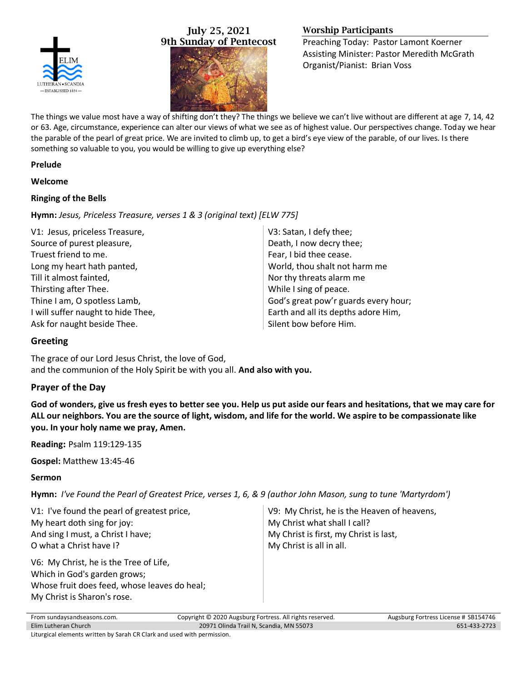

# July 25, 2021 9th Sunday of Pentecost



# Worship Participants

Preaching Today: Pastor Lamont Koerner Assisting Minister: Pastor Meredith McGrath Organist/Pianist: Brian Voss

The things we value most have a way of shifting don't they? The things we believe we can't live without are different at age 7, 14, 42 or 63. Age, circumstance, experience can alter our views of what we see as of highest value. Our perspectives change. Today we hear the parable of the pearl of great price. We are invited to climb up, to get a bird's eye view of the parable, of our lives. Is there something so valuable to you, you would be willing to give up everything else?

### **Prelude**

### **Welcome**

### **Ringing of the Bells**

**Hymn:** *Jesus, Priceless Treasure, verses 1 & 3 (original text) [ELW 775]*

| V3: Satan, I defy thee;              |
|--------------------------------------|
| Death, I now decry thee;             |
| Fear, I bid thee cease.              |
| World, thou shalt not harm me        |
| Nor thy threats alarm me             |
| While I sing of peace.               |
| God's great pow'r guards every hour; |
| Earth and all its depths adore Him,  |
| Silent bow before Him.               |
|                                      |

# **Greeting**

The grace of our Lord Jesus Christ, the love of God, and the communion of the Holy Spirit be with you all. **And also with you.**

# **Prayer of the Day**

**God of wonders, give us fresh eyes to better see you. Help us put aside our fears and hesitations, that we may care for ALL our neighbors. You are the source of light, wisdom, and life for the world. We aspire to be compassionate like you. In your holy name we pray, Amen.**

**Reading:** Psalm 119:129-135

**Gospel:** Matthew 13:45-46

## **Sermon**

**Hymn:** *I've Found the Pearl of Greatest Price, verses 1, 6, & 9 (author John Mason, sung to tune 'Martyrdom')*

| V1: I've found the pearl of greatest price,                                                                                                           | V9: My Christ, he is the Heaven of heavens, |
|-------------------------------------------------------------------------------------------------------------------------------------------------------|---------------------------------------------|
| My heart doth sing for joy:                                                                                                                           | My Christ what shall I call?                |
| And sing I must, a Christ I have;                                                                                                                     | My Christ is first, my Christ is last,      |
| O what a Christ have I?                                                                                                                               | My Christ is all in all.                    |
| V6: My Christ, he is the Tree of Life,<br>Which in God's garden grows;<br>Whose fruit does feed, whose leaves do heal;<br>My Christ is Sharon's rose. |                                             |